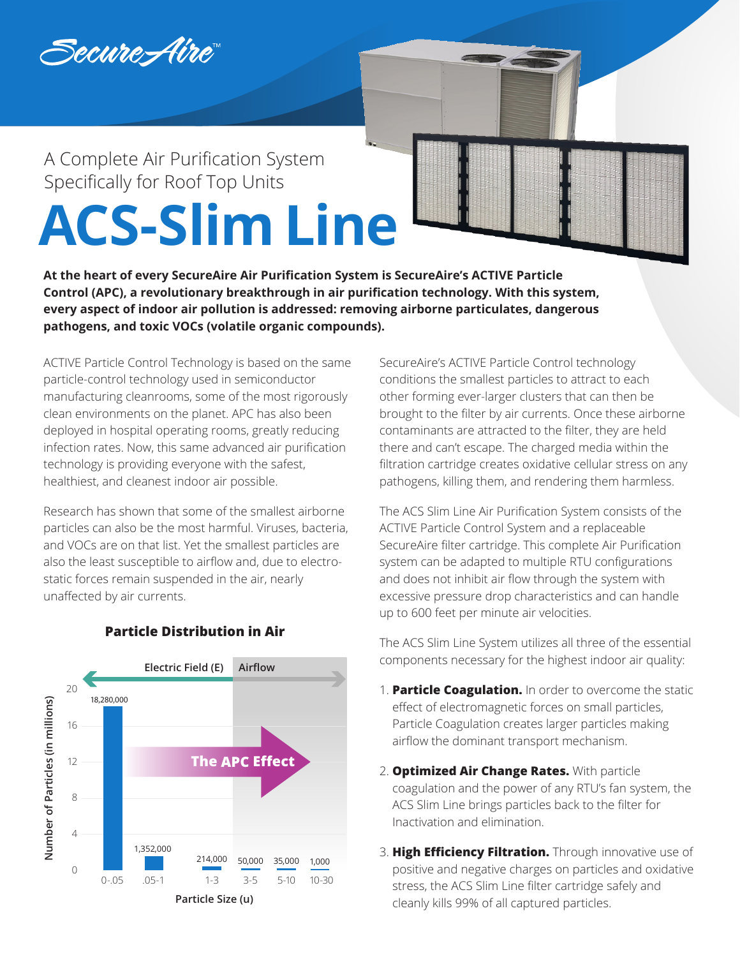

# A Complete Air Purification System Specifically for Roof Top Units **ACS-Slim Line**

**At the heart of every SecureAire Air Purification System is SecureAire's ACTIVE Particle Control (APC), a revolutionary breakthrough in air purification technology. With this system, every aspect of indoor air pollution is addressed: removing airborne particulates, dangerous pathogens, and toxic VOCs (volatile organic compounds).**

ACTIVE Particle Control Technology is based on the same particle-control technology used in semiconductor manufacturing cleanrooms, some of the most rigorously clean environments on the planet. APC has also been deployed in hospital operating rooms, greatly reducing infection rates. Now, this same advanced air purification technology is providing everyone with the safest, healthiest, and cleanest indoor air possible.

Research has shown that some of the smallest airborne particles can also be the most harmful. Viruses, bacteria, and VOCs are on that list. Yet the smallest particles are also the least susceptible to airflow and, due to electrostatic forces remain suspended in the air, nearly unaffected by air currents.

SecureAire's ACTIVE Particle Control technology conditions the smallest particles to attract to each other forming ever-larger clusters that can then be brought to the filter by air currents. Once these airborne contaminants are attracted to the filter, they are held there and can't escape. The charged media within the filtration cartridge creates oxidative cellular stress on any pathogens, killing them, and rendering them harmless.

The ACS Slim Line Air Purification System consists of the ACTIVE Particle Control System and a replaceable SecureAire filter cartridge. This complete Air Purification system can be adapted to multiple RTU configurations and does not inhibit air flow through the system with excessive pressure drop characteristics and can handle up to 600 feet per minute air velocities.

The ACS Slim Line System utilizes all three of the essential components necessary for the highest indoor air quality:

- 1. **Particle Coagulation.** In order to overcome the static effect of electromagnetic forces on small particles, Particle Coagulation creates larger particles making airflow the dominant transport mechanism.
- 2. **Optimized Air Change Rates.** With particle coagulation and the power of any RTU's fan system, the ACS Slim Line brings particles back to the filter for Inactivation and elimination.
- 3. **High Efficiency Filtration.** Through innovative use of positive and negative charges on particles and oxidative stress, the ACS Slim Line filter cartridge safely and cleanly kills 99% of all captured particles.



## **Particle Distribution in Air**